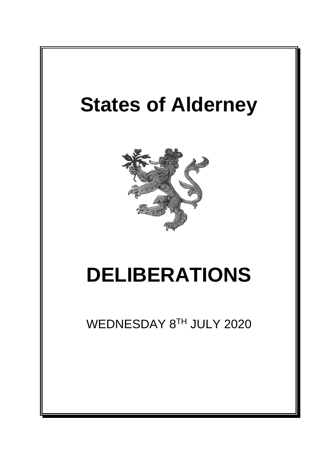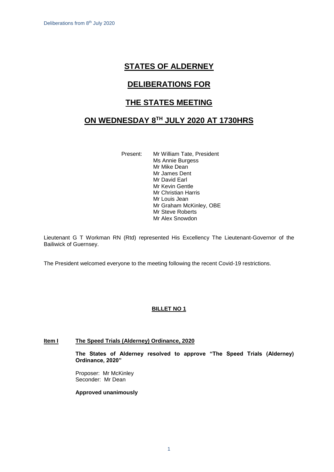# **STATES OF ALDERNEY**

# **DELIBERATIONS FOR**

# **THE STATES MEETING**

# **ON WEDNESDAY 8 TH JULY 2020 AT 1730HRS**

Present: Mr William Tate, President Ms Annie Burgess Mr Mike Dean Mr James Dent Mr David Earl Mr Kevin Gentle Mr Christian Harris Mr Louis Jean Mr Graham McKinley, OBE Mr Steve Roberts Mr Alex Snowdon

Lieutenant G T Workman RN (Rtd) represented His Excellency The Lieutenant-Governor of the Bailiwick of Guernsey.

The President welcomed everyone to the meeting following the recent Covid-19 restrictions.

## **BILLET NO 1**

## **Item I The Speed Trials (Alderney) Ordinance, 2020**

**The States of Alderney resolved to approve "The Speed Trials (Alderney) Ordinance, 2020"**

Proposer: Mr McKinley Seconder: Mr Dean

**Approved unanimously**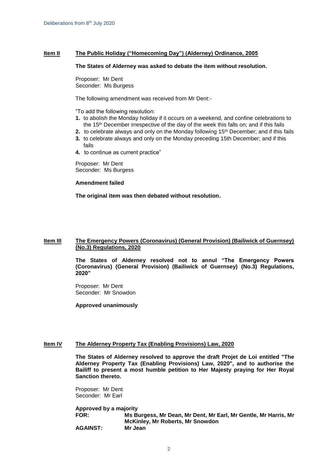### **Item II The Public Holiday ("Homecoming Day") (Alderney) Ordinance, 2005**

#### **The States of Alderney was asked to debate the item without resolution.**

Proposer: Mr Dent Seconder: Ms Burgess

The following amendment was received from Mr Dent:-

"To add the following resolution:

- **1.** to abolish the Monday holiday if it occurs on a weekend, and confine celebrations to the 15<sup>th</sup> December irrespective of the day of the week this falls on; and if this fails
- **2.** to celebrate always and only on the Monday following 15<sup>th</sup> December; and if this fails
- **3.** to celebrate always and only on the Monday preceding 15th December; and if this fails
- **4.** to continue as current practice"

Proposer: Mr Dent Seconder: Ms Burgess

#### **Amendment failed**

**The original item was then debated without resolution.**

#### **Item III The Emergency Powers (Coronavirus) (General Provision) (Bailiwick of Guernsey) (No.3) Regulations, 2020**

**The States of Alderney resolved not to annul "The Emergency Powers (Coronavirus) (General Provision) (Bailiwick of Guernsey) (No.3) Regulations, 2020"** 

Proposer: Mr Dent Seconder: Mr Snowdon

**Approved unanimously**

#### **Item IV The Alderney Property Tax (Enabling Provisions) Law, 2020**

**The States of Alderney resolved to approve the draft Projet de Loi entitled "The Alderney Property Tax (Enabling Provisions) Law, 2020", and to authorise the Bailiff to present a most humble petition to Her Majesty praying for Her Royal Sanction thereto.**

Proposer: Mr Dent Seconder: Mr Earl

**Approved by a majority FOR: Ms Burgess, Mr Dean, Mr Dent, Mr Earl, Mr Gentle, Mr Harris, Mr McKinley, Mr Roberts, Mr Snowdon AGAINST: Mr Jean**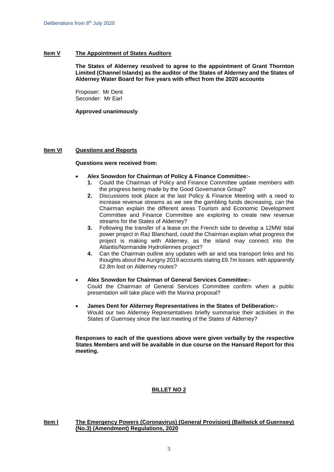#### **Item V The Appointment of States Auditors**

**The States of Alderney resolved to agree to the appointment of Grant Thornton Limited (Channel Islands) as the auditor of the States of Alderney and the States of Alderney Water Board for five years with effect from the 2020 accounts**

Proposer: Mr Dent Seconder: Mr Earl

**Approved unanimously**

### **Item VI Questions and Reports**

#### **Questions were received from:**

- **Alex Snowdon for Chairman of Policy & Finance Committee:-**
	- **1.** Could the Chairman of Policy and Finance Committee update members with the progress being made by the Good Governance Group?
	- **2.** Discussions took place at the last Policy & Finance Meeting with a need to increase revenue streams as we see the gambling funds decreasing, can the Chairman explain the different areas Tourism and Economic Development Committee and Finance Committee are exploring to create new revenue streams for the States of Alderney?
	- **3.** Following the transfer of a lease on the French side to develop a 12MW tidal power project in Raz Blanchard, could the Chairman explain what progress the project is making with Alderney, as the island may connect into the Atlantis/Normandie Hydroliennes project?
	- **4.** Can the Chairman outline any updates with air and sea transport links and his thoughts about the Aurigny 2019 accounts stating £9.7m losses with apparently £2.8m lost on Alderney routes?
- **Alex Snowdon for Chairman of General Services Committee:-**  Could the Chairman of General Services Committee confirm when a public presentation will take place with the Marina proposal?
- **James Dent for Alderney Representatives in the States of Deliberation:-** Would our two Alderney Representatives briefly summarise their activities in the States of Guernsey since the last meeting of the States of Alderney?

**Responses to each of the questions above were given verbally by the respective States Members and will be available in due course on the Hansard Report for this meeting.**

## **BILLET NO 2**

#### **<u>Item I The Emergency Powers (Coronavirus) (General Provision) (Bailiwick of Guernsey)</u> (No.3) (Amendment) Regulations, 2020**